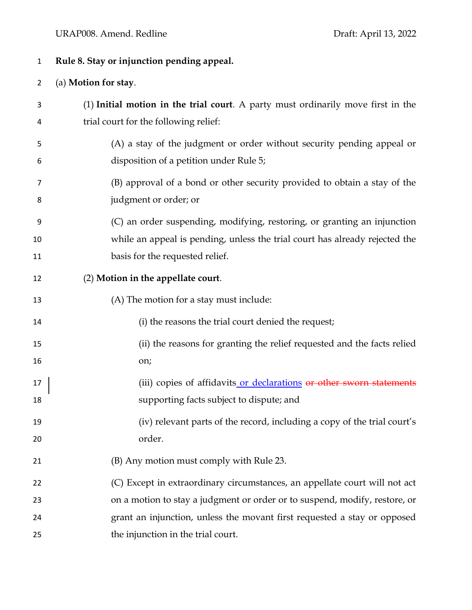## URAP008. Amend. Redline Draft: April 13, 2022

## **Rule 8. Stay or injunction pending appeal.**

## (a) **Motion for stay**.

- (1) **Initial motion in the trial court**. A party must ordinarily move first in the trial court for the following relief:
- (A) a stay of the judgment or order without security pending appeal or disposition of a petition under Rule 5;
- (B) approval of a bond or other security provided to obtain a stay of the judgment or order; or
- (C) an order suspending, modifying, restoring, or granting an injunction while an appeal is pending, unless the trial court has already rejected the **basis for the requested relief.**
- (2) **Motion in the appellate court**.
- (A) The motion for a stay must include:
- (i) the reasons the trial court denied the request;
- (ii) the reasons for granting the relief requested and the facts relied on;
- 17 (iii) copies of affidavits or declarations or other sworn statements supporting facts subject to dispute; and
- (iv) relevant parts of the record, including a copy of the trial court's order.
- (B) Any motion must comply with Rule 23.
- (C) Except in extraordinary circumstances, an appellate court will not act on a motion to stay a judgment or order or to suspend, modify, restore, or grant an injunction, unless the movant first requested a stay or opposed 25 the injunction in the trial court.